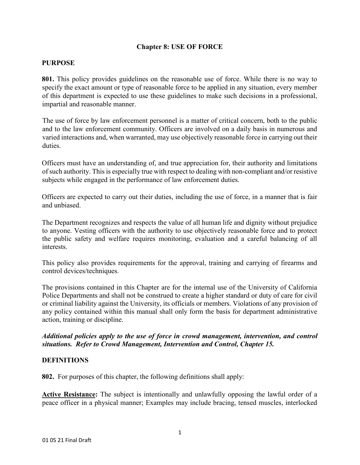## **Chapter 8: USE OF FORCE**

#### **PURPOSE**

**801.** This policy provides guidelines on the reasonable use of force. While there is no way to specify the exact amount or type of reasonable force to be applied in any situation, every member of this department is expected to use these guidelines to make such decisions in a professional, impartial and reasonable manner.

The use of force by law enforcement personnel is a matter of critical concern, both to the public and to the law enforcement community. Officers are involved on a daily basis in numerous and varied interactions and, when warranted, may use objectively reasonable force in carrying out their duties.

Officers must have an understanding of, and true appreciation for, their authority and limitations of such authority. This is especially true with respect to dealing with non-compliant and/or resistive subjects while engaged in the performance of law enforcement duties.

Officers are expected to carry out their duties, including the use of force, in a manner that is fair and unbiased.

The Department recognizes and respects the value of all human life and dignity without prejudice to anyone. Vesting officers with the authority to use objectively reasonable force and to protect the public safety and welfare requires monitoring, evaluation and a careful balancing of all interests.

This policy also provides requirements for the approval, training and carrying of firearms and control devices/techniques.

The provisions contained in this Chapter are for the internal use of the University of California Police Departments and shall not be construed to create a higher standard or duty of care for civil or criminal liability against the University, its officials or members. Violations of any provision of any policy contained within this manual shall only form the basis for department administrative action, training or discipline.

*Additional policies apply to the use of force in crowd management, intervention, and control situations. Refer to Crowd Management, Intervention and Control, Chapter 15.* 

#### **DEFINITIONS**

**802.** For purposes of this chapter, the following definitions shall apply:

**Active Resistance:** The subject is intentionally and unlawfully opposing the lawful order of a peace officer in a physical manner; Examples may include bracing, tensed muscles, interlocked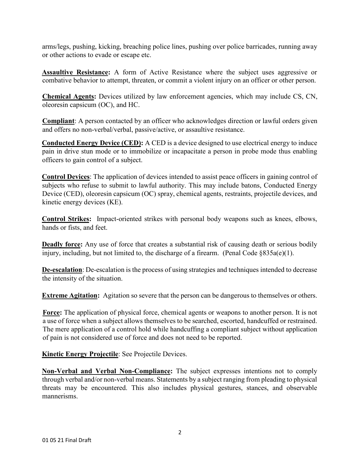arms/legs, pushing, kicking, breaching police lines, pushing over police barricades, running away or other actions to evade or escape etc.

**Assaultive Resistance:** A form of Active Resistance where the subject uses aggressive or combative behavior to attempt, threaten, or commit a violent injury on an officer or other person.

**Chemical Agents:** Devices utilized by law enforcement agencies, which may include CS, CN, oleoresin capsicum (OC), and HC.

**Compliant**: A person contacted by an officer who acknowledges direction or lawful orders given and offers no non-verbal/verbal, passive/active, or assaultive resistance.

**Conducted Energy Device (CED):** A CED is a device designed to use electrical energy to induce pain in drive stun mode or to immobilize or incapacitate a person in probe mode thus enabling officers to gain control of a subject.

**Control Devices**: The application of devices intended to assist peace officers in gaining control of subjects who refuse to submit to lawful authority. This may include batons, Conducted Energy Device (CED), oleoresin capsicum (OC) spray, chemical agents, restraints, projectile devices, and kinetic energy devices (KE).

**Control Strikes:** Impact-oriented strikes with personal body weapons such as knees, elbows, hands or fists, and feet.

**Deadly force:** Any use of force that creates a substantial risk of causing death or serious bodily injury, including, but not limited to, the discharge of a firearm. (Penal Code §835a(e)(1).

**De-escalation**: De-escalation is the process of using strategies and techniques intended to decrease the intensity of the situation.

**Extreme Agitation:** Agitation so severe that the person can be dangerous to themselves or others.

**Force:** The application of physical force, chemical agents or weapons to another person. It is not a use of force when a subject allows themselves to be searched, escorted, handcuffed or restrained. The mere application of a control hold while handcuffing a compliant subject without application of pain is not considered use of force and does not need to be reported.

**Kinetic Energy Projectile**: See Projectile Devices.

**Non-Verbal and Verbal Non-Compliance:** The subject expresses intentions not to comply through verbal and/or non-verbal means. Statements by a subject ranging from pleading to physical threats may be encountered. This also includes physical gestures, stances, and observable mannerisms.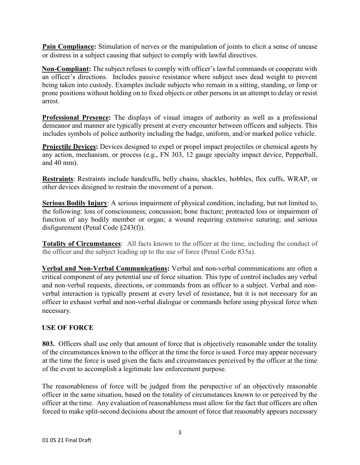**Pain Compliance:** Stimulation of nerves or the manipulation of joints to elicit a sense of unease or distress in a subject causing that subject to comply with lawful directives.

**Non-Compliant:** The subject refuses to comply with officer's lawful commands or cooperate with an officer's directions. Includes passive resistance where subject uses dead weight to prevent being taken into custody. Examples include subjects who remain in a sitting, standing, or limp or prone positions without holding on to fixed objects or other persons in an attempt to delay or resist arrest.

**Professional Presence:** The displays of visual images of authority as well as a professional demeanor and manner are typically present at every encounter between officers and subjects. This includes symbols of police authority including the badge, uniform, and/or marked police vehicle.

**Projectile Devices:** Devices designed to expel or propel impact projectiles or chemical agents by any action, mechanism, or process (e.g., FN 303, 12 gauge specialty impact device, Pepperball, and 40 mm).

**Restraints**: Restraints include handcuffs, belly chains, shackles, hobbles, flex cuffs, WRAP, or other devices designed to restrain the movement of a person.

**Serious Bodily Injury**: A serious impairment of physical condition, including, but not limited to, the following: loss of consciousness; concussion; bone fracture; protracted loss or impairment of function of any bodily member or organ; a wound requiring extensive suturing; and serious disfigurement (Penal Code §243(f)).

**Totality of Circumstances:** All facts known to the officer at the time, including the conduct of the officer and the subject leading up to the use of force (Penal Code 835a).

**Verbal and Non-Verbal Communications:** Verbal and non-verbal communications are often a critical component of any potential use of force situation. This type of control includes any verbal and non-verbal requests, directions, or commands from an officer to a subject. Verbal and nonverbal interaction is typically present at every level of resistance, but it is not necessary for an officer to exhaust verbal and non-verbal dialogue or commands before using physical force when necessary.

# **USE OF FORCE**

**803.** Officers shall use only that amount of force that is objectively reasonable under the totality of the circumstances known to the officer at the time the force is used. Force may appear necessary at the time the force is used given the facts and circumstances perceived by the officer at the time of the event to accomplish a legitimate law enforcement purpose.

The reasonableness of force will be judged from the perspective of an objectively reasonable officer in the same situation, based on the totality of circumstances known to or perceived by the officer at the time. Any evaluation of reasonableness must allow for the fact that officers are often forced to make split-second decisions about the amount of force that reasonably appears necessary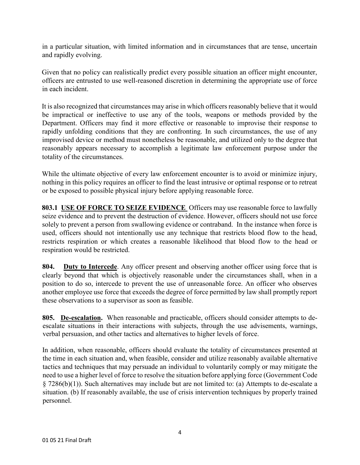in a particular situation, with limited information and in circumstances that are tense, uncertain and rapidly evolving.

Given that no policy can realistically predict every possible situation an officer might encounter, officers are entrusted to use well-reasoned discretion in determining the appropriate use of force in each incident.

It is also recognized that circumstances may arise in which officers reasonably believe that it would be impractical or ineffective to use any of the tools, weapons or methods provided by the Department. Officers may find it more effective or reasonable to improvise their response to rapidly unfolding conditions that they are confronting. In such circumstances, the use of any improvised device or method must nonetheless be reasonable, and utilized only to the degree that reasonably appears necessary to accomplish a legitimate law enforcement purpose under the totality of the circumstances.

While the ultimate objective of every law enforcement encounter is to avoid or minimize injury, nothing in this policy requires an officer to find the least intrusive or optimal response or to retreat or be exposed to possible physical injury before applying reasonable force.

**803.1 USE OF FORCE TO SEIZE EVIDENCE** Officers may use reasonable force to lawfully seize evidence and to prevent the destruction of evidence. However, officers should not use force solely to prevent a person from swallowing evidence or contraband. In the instance when force is used, officers should not intentionally use any technique that restricts blood flow to the head, restricts respiration or which creates a reasonable likelihood that blood flow to the head or respiration would be restricted.

**804. Duty to Intercede**. Any officer present and observing another officer using force that is clearly beyond that which is objectively reasonable under the circumstances shall, when in a position to do so, intercede to prevent the use of unreasonable force. An officer who observes another employee use force that exceeds the degree of force permitted by law shall promptly report these observations to a supervisor as soon as feasible.

**805. De-escalation.** When reasonable and practicable, officers should consider attempts to deescalate situations in their interactions with subjects, through the use advisements, warnings, verbal persuasion, and other tactics and alternatives to higher levels of force.

In addition, when reasonable, officers should evaluate the totality of circumstances presented at the time in each situation and, when feasible, consider and utilize reasonably available alternative tactics and techniques that may persuade an individual to voluntarily comply or may mitigate the need to use a higher level of force to resolve the situation before applying force (Government Code § 7286(b)(1)). Such alternatives may include but are not limited to: (a) Attempts to de-escalate a situation. (b) If reasonably available, the use of crisis intervention techniques by properly trained personnel.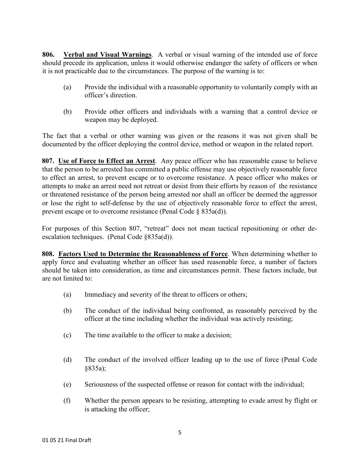**806. Verbal and Visual Warnings**. A verbal or visual warning of the intended use of force should precede its application, unless it would otherwise endanger the safety of officers or when it is not practicable due to the circumstances. The purpose of the warning is to:

- (a) Provide the individual with a reasonable opportunity to voluntarily comply with an officer's direction.
- (b) Provide other officers and individuals with a warning that a control device or weapon may be deployed.

The fact that a verbal or other warning was given or the reasons it was not given shall be documented by the officer deploying the control device, method or weapon in the related report.

**807. Use of Force to Effect an Arrest**. Any peace officer who has reasonable cause to believe that the person to be arrested has committed a public offense may use objectively reasonable force to effect an arrest, to prevent escape or to overcome resistance. A peace officer who makes or attempts to make an arrest need not retreat or desist from their efforts by reason of the resistance or threatened resistance of the person being arrested nor shall an officer be deemed the aggressor or lose the right to self-defense by the use of objectively reasonable force to effect the arrest, prevent escape or to overcome resistance (Penal Code § 835a(d)).

For purposes of this Section 807, "retreat" does not mean tactical repositioning or other deescalation techniques. (Penal Code §835a(d)).

**808. Factors Used to Determine the Reasonableness of Force**. When determining whether to apply force and evaluating whether an officer has used reasonable force, a number of factors should be taken into consideration, as time and circumstances permit. These factors include, but are not limited to:

- (a) Immediacy and severity of the threat to officers or others;
- (b) The conduct of the individual being confronted, as reasonably perceived by the officer at the time including whether the individual was actively resisting;
- (c) The time available to the officer to make a decision;
- (d) The conduct of the involved officer leading up to the use of force (Penal Code §835a);
- (e) Seriousness of the suspected offense or reason for contact with the individual;
- (f) Whether the person appears to be resisting, attempting to evade arrest by flight or is attacking the officer;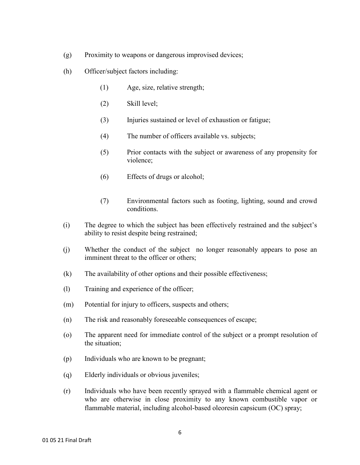- (g) Proximity to weapons or dangerous improvised devices;
- (h) Officer/subject factors including:
	- (1) Age, size, relative strength;
	- (2) Skill level;
	- (3) Injuries sustained or level of exhaustion or fatigue;
	- (4) The number of officers available vs. subjects;
	- (5) Prior contacts with the subject or awareness of any propensity for violence;
	- (6) Effects of drugs or alcohol;
	- (7) Environmental factors such as footing, lighting, sound and crowd conditions.
- (i) The degree to which the subject has been effectively restrained and the subject's ability to resist despite being restrained;
- (j) Whether the conduct of the subject no longer reasonably appears to pose an imminent threat to the officer or others;
- (k) The availability of other options and their possible effectiveness;
- (l) Training and experience of the officer;
- (m) Potential for injury to officers, suspects and others;
- (n) The risk and reasonably foreseeable consequences of escape;
- (o) The apparent need for immediate control of the subject or a prompt resolution of the situation;
- (p) Individuals who are known to be pregnant;
- (q) Elderly individuals or obvious juveniles;
- (r) Individuals who have been recently sprayed with a flammable chemical agent or who are otherwise in close proximity to any known combustible vapor or flammable material, including alcohol-based oleoresin capsicum (OC) spray;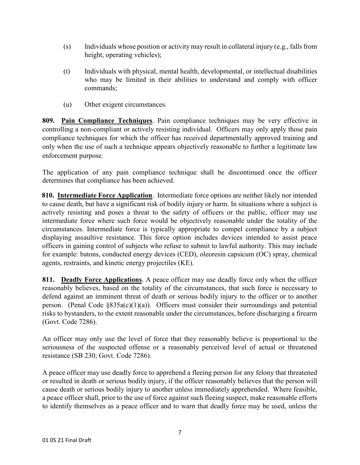- (s) Individuals whose position or activity may result in collateral injury (e.g., falls from height, operating vehicles);
- (t) Individuals with physical, mental health, developmental, or intellectual disabilities who may be limited in their abilities to understand and comply with officer commands;
- (u) Other exigent circumstances.

**809. Pain Compliance Techniques**. Pain compliance techniques may be very effective in controlling a non-compliant or actively resisting individual. Officers may only apply those pain compliance techniques for which the officer has received departmentally approved training and only when the use of such a technique appears objectively reasonable to further a legitimate law enforcement purpose.

The application of any pain compliance technique shall be discontinued once the officer determines that compliance has been achieved.

**810. Intermediate Force Application**. Intermediate force options are neither likely nor intended to cause death, but have a significant risk of bodily injury or harm. In situations where a subject is actively resisting and poses a threat to the safety of officers or the public, officer may use intermediate force where such force would be objectively reasonable under the totality of the circumstances. Intermediate force is typically appropriate to compel compliance by a subject displaying assaultive resistance. This force option includes devices intended to assist peace officers in gaining control of subjects who refuse to submit to lawful authority. This may include for example: batons, conducted energy devices (CED), oleoresin capsicum (OC) spray, chemical agents, restraints, and kinetic energy projectiles (KE).

**811. Deadly Force Applications**. A peace officer may use deadly force only when the officer reasonably believes, based on the totality of the circumstances, that such force is necessary to defend against an imminent threat of death or serious bodily injury to the officer or to another person. (Penal Code  $\S 835a(c)(1)(a)$ ). Officers must consider their surroundings and potential risks to bystanders, to the extent reasonable under the circumstances, before discharging a firearm (Govt. Code 7286).

An officer may only use the level of force that they reasonably believe is proportional to the seriousness of the suspected offense or a reasonably perceived level of actual or threatened resistance (SB 230; Govt. Code 7286).

A peace officer may use deadly force to apprehend a fleeing person for any felony that threatened or resulted in death or serious bodily injury, if the officer reasonably believes that the person will cause death or serious bodily injury to another unless immediately apprehended. Where feasible, a peace officer shall, prior to the use of force against such fleeing suspect, make reasonable efforts to identify themselves as a peace officer and to warn that deadly force may be used, unless the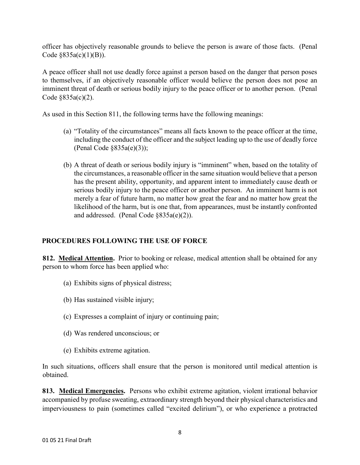officer has objectively reasonable grounds to believe the person is aware of those facts. (Penal Code  $§835a(c)(1)(B)$ ).

A peace officer shall not use deadly force against a person based on the danger that person poses to themselves, if an objectively reasonable officer would believe the person does not pose an imminent threat of death or serious bodily injury to the peace officer or to another person. (Penal Code §835a(c)(2).

As used in this Section 811, the following terms have the following meanings:

- (a) "Totality of the circumstances" means all facts known to the peace officer at the time, including the conduct of the officer and the subject leading up to the use of deadly force (Penal Code §835a(e)(3));
- (b) A threat of death or serious bodily injury is "imminent" when, based on the totality of the circumstances, a reasonable officer in the same situation would believe that a person has the present ability, opportunity, and apparent intent to immediately cause death or serious bodily injury to the peace officer or another person. An imminent harm is not merely a fear of future harm, no matter how great the fear and no matter how great the likelihood of the harm, but is one that, from appearances, must be instantly confronted and addressed. (Penal Code §835a(e)(2)).

# **PROCEDURES FOLLOWING THE USE OF FORCE**

**812. Medical Attention.** Prior to booking or release, medical attention shall be obtained for any person to whom force has been applied who:

- (a) Exhibits signs of physical distress;
- (b) Has sustained visible injury;
- (c) Expresses a complaint of injury or continuing pain;
- (d) Was rendered unconscious; or
- (e) Exhibits extreme agitation.

In such situations, officers shall ensure that the person is monitored until medical attention is obtained.

**813. Medical Emergencies.** Persons who exhibit extreme agitation, violent irrational behavior accompanied by profuse sweating, extraordinary strength beyond their physical characteristics and imperviousness to pain (sometimes called "excited delirium"), or who experience a protracted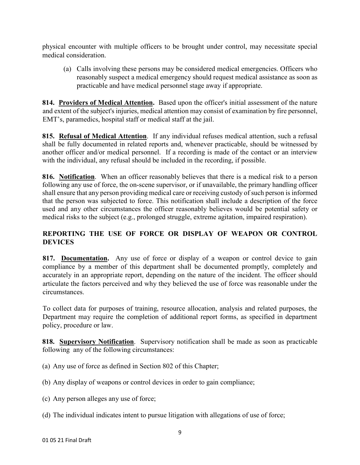physical encounter with multiple officers to be brought under control, may necessitate special medical consideration.

(a) Calls involving these persons may be considered medical emergencies. Officers who reasonably suspect a medical emergency should request medical assistance as soon as practicable and have medical personnel stage away if appropriate.

**814. Providers of Medical Attention.** Based upon the officer's initial assessment of the nature and extent of the subject's injuries, medical attention may consist of examination by fire personnel, EMT's, paramedics, hospital staff or medical staff at the jail.

**815. Refusal of Medical Attention**. If any individual refuses medical attention, such a refusal shall be fully documented in related reports and, whenever practicable, should be witnessed by another officer and/or medical personnel. If a recording is made of the contact or an interview with the individual, any refusal should be included in the recording, if possible.

**816. Notification**. When an officer reasonably believes that there is a medical risk to a person following any use of force, the on-scene supervisor, or if unavailable, the primary handling officer shall ensure that any person providing medical care or receiving custody of such person is informed that the person was subjected to force. This notification shall include a description of the force used and any other circumstances the officer reasonably believes would be potential safety or medical risks to the subject (e.g., prolonged struggle, extreme agitation, impaired respiration).

# **REPORTING THE USE OF FORCE OR DISPLAY OF WEAPON OR CONTROL DEVICES**

817. Documentation. Any use of force or display of a weapon or control device to gain compliance by a member of this department shall be documented promptly, completely and accurately in an appropriate report, depending on the nature of the incident. The officer should articulate the factors perceived and why they believed the use of force was reasonable under the circumstances.

To collect data for purposes of training, resource allocation, analysis and related purposes, the Department may require the completion of additional report forms, as specified in department policy, procedure or law.

**818. Supervisory Notification**. Supervisory notification shall be made as soon as practicable following any of the following circumstances:

- (a) Any use of force as defined in Section 802 of this Chapter;
- (b) Any display of weapons or control devices in order to gain compliance;
- (c) Any person alleges any use of force;
- (d) The individual indicates intent to pursue litigation with allegations of use of force;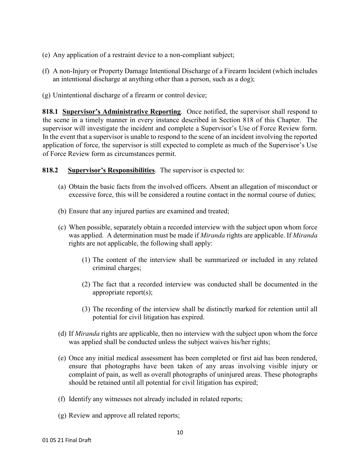- (e) Any application of a restraint device to a non-compliant subject;
- (f) A non-Injury or Property Damage Intentional Discharge of a Firearm Incident (which includes an intentional discharge at anything other than a person, such as a dog);
- (g) Unintentional discharge of a firearm or control device;

**818.1 Supervisor's Administrative Reporting**. Once notified, the supervisor shall respond to the scene in a timely manner in every instance described in Section 818 of this Chapter. The supervisor will investigate the incident and complete a Supervisor's Use of Force Review form. In the event that a supervisor is unable to respond to the scene of an incident involving the reported application of force, the supervisor is still expected to complete as much of the Supervisor's Use of Force Review form as circumstances permit.

#### **818.2 Supervisor's Responsibilities**. The supervisor is expected to:

- (a) Obtain the basic facts from the involved officers. Absent an allegation of misconduct or excessive force, this will be considered a routine contact in the normal course of duties;
- (b) Ensure that any injured parties are examined and treated;
- (c) When possible, separately obtain a recorded interview with the subject upon whom force was applied. A determination must be made if *Miranda* rights are applicable. If *Miranda* rights are not applicable, the following shall apply:
	- (1) The content of the interview shall be summarized or included in any related criminal charges;
	- (2) The fact that a recorded interview was conducted shall be documented in the appropriate report(s);
	- (3) The recording of the interview shall be distinctly marked for retention until all potential for civil litigation has expired.
- (d) If *Miranda* rights are applicable, then no interview with the subject upon whom the force was applied shall be conducted unless the subject waives his/her rights;
- (e) Once any initial medical assessment has been completed or first aid has been rendered, ensure that photographs have been taken of any areas involving visible injury or complaint of pain, as well as overall photographs of uninjured areas. These photographs should be retained until all potential for civil litigation has expired;
- (f) Identify any witnesses not already included in related reports;
- (g) Review and approve all related reports;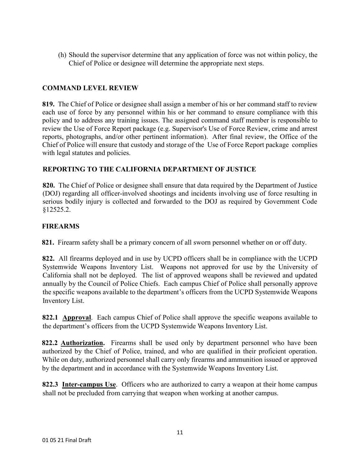(h) Should the supervisor determine that any application of force was not within policy, the Chief of Police or designee will determine the appropriate next steps.

## **COMMAND LEVEL REVIEW**

**819.** The Chief of Police or designee shall assign a member of his or her command staff to review each use of force by any personnel within his or her command to ensure compliance with this policy and to address any training issues. The assigned command staff member is responsible to review the Use of Force Report package (e.g. Supervisor's Use of Force Review, crime and arrest reports, photographs, and/or other pertinent information). After final review, the Office of the Chief of Police will ensure that custody and storage of the Use of Force Report package complies with legal statutes and policies.

## **REPORTING TO THE CALIFORNIA DEPARTMENT OF JUSTICE**

**820.** The Chief of Police or designee shall ensure that data required by the Department of Justice (DOJ) regarding all officer-involved shootings and incidents involving use of force resulting in serious bodily injury is collected and forwarded to the DOJ as required by Government Code §12525.2.

#### **FIREARMS**

**821.** Firearm safety shall be a primary concern of all sworn personnel whether on or off duty.

**822.** All firearms deployed and in use by UCPD officers shall be in compliance with the UCPD Systemwide Weapons Inventory List. Weapons not approved for use by the University of California shall not be deployed. The list of approved weapons shall be reviewed and updated annually by the Council of Police Chiefs. Each campus Chief of Police shall personally approve the specific weapons available to the department's officers from the UCPD Systemwide Weapons Inventory List.

**822.1 Approval**. Each campus Chief of Police shall approve the specific weapons available to the department's officers from the UCPD Systemwide Weapons Inventory List.

**822.2 Authorization.** Firearms shall be used only by department personnel who have been authorized by the Chief of Police, trained, and who are qualified in their proficient operation. While on duty, authorized personnel shall carry only firearms and ammunition issued or approved by the department and in accordance with the Systemwide Weapons Inventory List.

**822.3 Inter-campus Use**. Officers who are authorized to carry a weapon at their home campus shall not be precluded from carrying that weapon when working at another campus.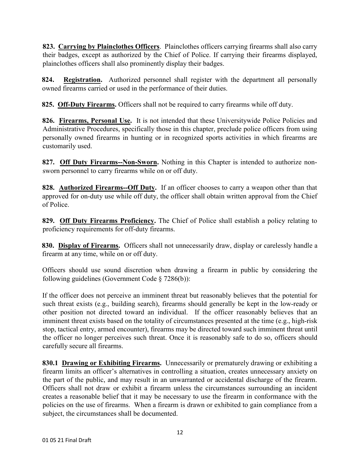**823. Carrying by Plainclothes Officers**. Plainclothes officers carrying firearms shall also carry their badges, except as authorized by the Chief of Police. If carrying their firearms displayed, plainclothes officers shall also prominently display their badges.

**824. Registration.** Authorized personnel shall register with the department all personally owned firearms carried or used in the performance of their duties.

**825. Off-Duty Firearms.** Officers shall not be required to carry firearms while off duty.

**826. Firearms, Personal Use.** It is not intended that these University wide Police Policies and Administrative Procedures, specifically those in this chapter, preclude police officers from using personally owned firearms in hunting or in recognized sports activities in which firearms are customarily used.

**827. Off Duty Firearms--Non-Sworn.** Nothing in this Chapter is intended to authorize nonsworn personnel to carry firearms while on or off duty.

**828. Authorized Firearms--Off Duty.** If an officer chooses to carry a weapon other than that approved for on-duty use while off duty, the officer shall obtain written approval from the Chief of Police.

**829. Off Duty Firearms Proficiency.** The Chief of Police shall establish a policy relating to proficiency requirements for off-duty firearms.

**830. Display of Firearms.** Officers shall not unnecessarily draw, display or carelessly handle a firearm at any time, while on or off duty.

Officers should use sound discretion when drawing a firearm in public by considering the following guidelines (Government Code § 7286(b)):

If the officer does not perceive an imminent threat but reasonably believes that the potential for such threat exists (e.g., building search), firearms should generally be kept in the low-ready or other position not directed toward an individual. If the officer reasonably believes that an imminent threat exists based on the totality of circumstances presented at the time (e.g., high-risk stop, tactical entry, armed encounter), firearms may be directed toward such imminent threat until the officer no longer perceives such threat. Once it is reasonably safe to do so, officers should carefully secure all firearms.

**830.1 Drawing or Exhibiting Firearms.** Unnecessarily or prematurely drawing or exhibiting a firearm limits an officer's alternatives in controlling a situation, creates unnecessary anxiety on the part of the public, and may result in an unwarranted or accidental discharge of the firearm. Officers shall not draw or exhibit a firearm unless the circumstances surrounding an incident creates a reasonable belief that it may be necessary to use the firearm in conformance with the policies on the use of firearms. When a firearm is drawn or exhibited to gain compliance from a subject, the circumstances shall be documented.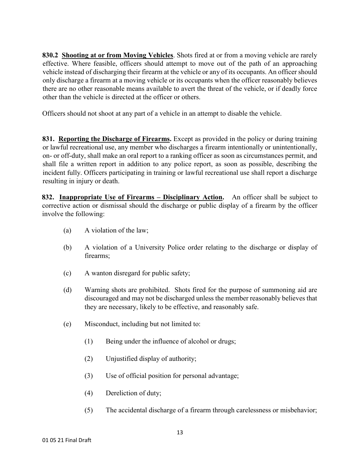**830.2 Shooting at or from Moving Vehicles**. Shots fired at or from a moving vehicle are rarely effective. Where feasible, officers should attempt to move out of the path of an approaching vehicle instead of discharging their firearm at the vehicle or any of its occupants. An officer should only discharge a firearm at a moving vehicle or its occupants when the officer reasonably believes there are no other reasonable means available to avert the threat of the vehicle, or if deadly force other than the vehicle is directed at the officer or others.

Officers should not shoot at any part of a vehicle in an attempt to disable the vehicle.

**831. Reporting the Discharge of Firearms.** Except as provided in the policy or during training or lawful recreational use, any member who discharges a firearm intentionally or unintentionally, on- or off-duty, shall make an oral report to a ranking officer as soon as circumstances permit, and shall file a written report in addition to any police report, as soon as possible, describing the incident fully. Officers participating in training or lawful recreational use shall report a discharge resulting in injury or death.

**832. Inappropriate Use of Firearms – Disciplinary Action.** An officer shall be subject to corrective action or dismissal should the discharge or public display of a firearm by the officer involve the following:

- (a) A violation of the law;
- (b) A violation of a University Police order relating to the discharge or display of firearms;
- (c) A wanton disregard for public safety;
- (d) Warning shots are prohibited. Shots fired for the purpose of summoning aid are discouraged and may not be discharged unless the member reasonably believes that they are necessary, likely to be effective, and reasonably safe.
- (e) Misconduct, including but not limited to:
	- (1) Being under the influence of alcohol or drugs;
	- (2) Unjustified display of authority;
	- (3) Use of official position for personal advantage;
	- (4) Dereliction of duty;
	- (5) The accidental discharge of a firearm through carelessness or misbehavior;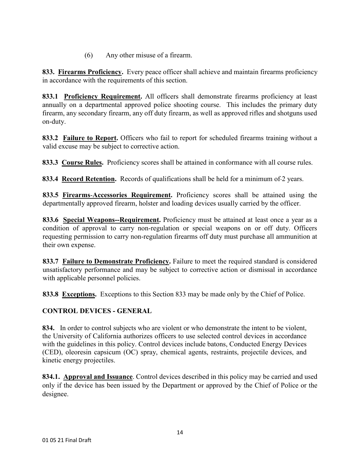(6) Any other misuse of a firearm.

**833. Firearms Proficiency.** Every peace officer shall achieve and maintain firearms proficiency in accordance with the requirements of this section.

**833.1 Proficiency Requirement.** All officers shall demonstrate firearms proficiency at least annually on a departmental approved police shooting course.This includes the primary duty firearm, any secondary firearm, any off duty firearm, as well as approved rifles and shotguns used on-duty.

833.2 Failure to Report. Officers who fail to report for scheduled firearms training without a valid excuse may be subject to corrective action.

**833.3 Course Rules.** Proficiency scores shall be attained in conformance with all course rules.

**833.4 Record Retention.** Records of qualifications shall be held for a minimum of 2 years.

**833.5 Firearms**-**Accessories Requirement.** Proficiency scores shall be attained using the departmentally approved firearm, holster and loading devices usually carried by the officer.

**833.6 Special Weapons--Requirement.** Proficiency must be attained at least once a year as a condition of approval to carry non-regulation or special weapons on or off duty. Officers requesting permission to carry non-regulation firearms off duty must purchase all ammunition at their own expense.

**833.7 Failure to Demonstrate Proficiency.** Failure to meet the required standard is considered unsatisfactory performance and may be subject to corrective action or dismissal in accordance with applicable personnel policies.

**833.8 Exceptions.** Exceptions to this Section 833 may be made only by the Chief of Police.

# **CONTROL DEVICES - GENERAL**

**834.** In order to control subjects who are violent or who demonstrate the intent to be violent, the University of California authorizes officers to use selected control devices in accordance with the guidelines in this policy. Control devices include batons, Conducted Energy Devices (CED), oleoresin capsicum (OC) spray, chemical agents, restraints, projectile devices, and kinetic energy projectiles.

**834.1. Approval and Issuance**. Control devices described in this policy may be carried and used only if the device has been issued by the Department or approved by the Chief of Police or the designee.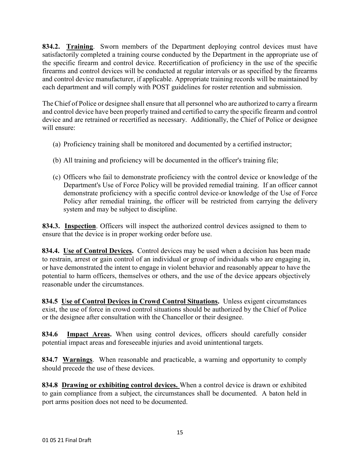**834.2. Training**. Sworn members of the Department deploying control devices must have satisfactorily completed a training course conducted by the Department in the appropriate use of the specific firearm and control device. Recertification of proficiency in the use of the specific firearms and control devices will be conducted at regular intervals or as specified by the firearms and control device manufacturer, if applicable. Appropriate training records will be maintained by each department and will comply with POST guidelines for roster retention and submission.

The Chief of Police or designee shall ensure that all personnel who are authorized to carry a firearm and control device have been properly trained and certified to carry the specific firearm and control device and are retrained or recertified as necessary. Additionally, the Chief of Police or designee will ensure:

- (a) Proficiency training shall be monitored and documented by a certified instructor;
- (b) All training and proficiency will be documented in the officer's training file;
- (c) Officers who fail to demonstrate proficiency with the control device or knowledge of the Department's Use of Force Policy will be provided remedial training. If an officer cannot demonstrate proficiency with a specific control device or knowledge of the Use of Force Policy after remedial training, the officer will be restricted from carrying the delivery system and may be subject to discipline.

**834.3. Inspection**. Officers will inspect the authorized control devices assigned to them to ensure that the device is in proper working order before use.

**834.4. Use of Control Devices.** Control devices may be used when a decision has been made to restrain, arrest or gain control of an individual or group of individuals who are engaging in, or have demonstrated the intent to engage in violent behavior and reasonably appear to have the potential to harm officers, themselves or others, and the use of the device appears objectively reasonable under the circumstances.

**834.5 Use of Control Devices in Crowd Control Situations.** Unless exigent circumstances exist, the use of force in crowd control situations should be authorized by the Chief of Police or the designee after consultation with the Chancellor or their designee.

**834.6 Impact Areas.** When using control devices, officers should carefully consider potential impact areas and foreseeable injuries and avoid unintentional targets.

**834.7 Warnings**. When reasonable and practicable, a warning and opportunity to comply should precede the use of these devices.

**834.8 Drawing or exhibiting control devices.** When a control device is drawn or exhibited to gain compliance from a subject, the circumstances shall be documented.A baton held in port arms position does not need to be documented.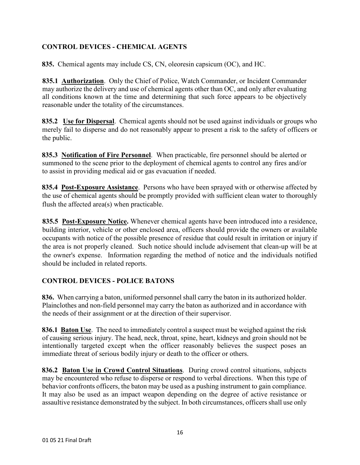# **CONTROL DEVICES - CHEMICAL AGENTS**

**835.** Chemical agents may include CS, CN, oleoresin capsicum (OC), and HC.

**835.1 Authorization**. Only the Chief of Police, Watch Commander, or Incident Commander may authorize the delivery and use of chemical agents other than OC, and only after evaluating all conditions known at the time and determining that such force appears to be objectively reasonable under the totality of the circumstances.

**835.2 Use for Dispersal**. Chemical agents should not be used against individuals or groups who merely fail to disperse and do not reasonably appear to present a risk to the safety of officers or the public.

**835.3 Notification of Fire Personnel**. When practicable, fire personnel should be alerted or summoned to the scene prior to the deployment of chemical agents to control any fires and/or to assist in providing medical aid or gas evacuation if needed.

**835.4 Post-Exposure Assistance**. Persons who have been sprayed with or otherwise affected by the use of chemical agents should be promptly provided with sufficient clean water to thoroughly flush the affected area(s) when practicable.

**835.5 Post-Exposure Notice.** Whenever chemical agents have been introduced into a residence, building interior, vehicle or other enclosed area, officers should provide the owners or available occupants with notice of the possible presence of residue that could result in irritation or injury if the area is not properly cleaned. Such notice should include advisement that clean-up will be at the owner's expense. Information regarding the method of notice and the individuals notified should be included in related reports.

## **CONTROL DEVICES - POLICE BATONS**

**836.** When carrying a baton, uniformed personnel shall carry the baton in its authorized holder. Plainclothes and non-field personnel may carry the baton as authorized and in accordance with the needs of their assignment or at the direction of their supervisor.

**836.1 Baton Use**. The need to immediately control a suspect must be weighed against the risk of causing serious injury. The head, neck, throat, spine, heart, kidneys and groin should not be intentionally targeted except when the officer reasonably believes the suspect poses an immediate threat of serious bodily injury or death to the officer or others.

**836.2 Baton Use in Crowd Control Situations**. During crowd control situations, subjects may be encountered who refuse to disperse or respond to verbal directions. When this type of behavior confronts officers, the baton may be used as a pushing instrument to gain compliance. It may also be used as an impact weapon depending on the degree of active resistance or assaultive resistance demonstrated by the subject. In both circumstances, officers shall use only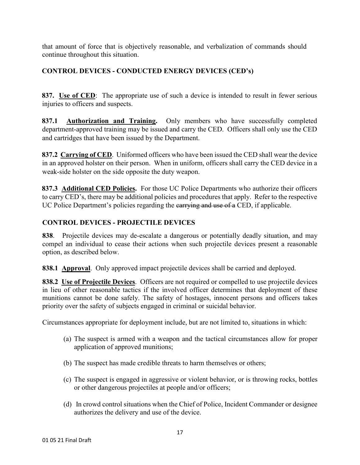that amount of force that is objectively reasonable, and verbalization of commands should continue throughout this situation.

## **CONTROL DEVICES - CONDUCTED ENERGY DEVICES (CED's)**

**837. Use of CED**: The appropriate use of such a device is intended to result in fewer serious injuries to officers and suspects.

**837.1 Authorization and Training.** Only members who have successfully completed department-approved training may be issued and carry the CED. Officers shall only use the CED and cartridges that have been issued by the Department.

**837.2 Carrying of CED.** Uniformed officers who have been issued the CED shall wear the device in an approved holster on their person. When in uniform, officers shall carry the CED device in a weak-side holster on the side opposite the duty weapon.

**837.3 Additional CED Policies.** For those UC Police Departments who authorize their officers to carry CED's, there may be additional policies and procedures that apply. Refer to the respective UC Police Department's policies regarding the earrying and use of a CED, if applicable.

## **CONTROL DEVICES - PROJECTILE DEVICES**

**838**. Projectile devices may de-escalate a dangerous or potentially deadly situation, and may compel an individual to cease their actions when such projectile devices present a reasonable option, as described below.

**838.1 Approval**. Only approved impact projectile devices shall be carried and deployed.

**838.2 Use of Projectile Devices**. Officers are not required or compelled to use projectile devices in lieu of other reasonable tactics if the involved officer determines that deployment of these munitions cannot be done safely. The safety of hostages, innocent persons and officers takes priority over the safety of subjects engaged in criminal or suicidal behavior.

Circumstances appropriate for deployment include, but are not limited to, situations in which:

- (a) The suspect is armed with a weapon and the tactical circumstances allow for proper application of approved munitions;
- (b) The suspect has made credible threats to harm themselves or others;
- (c) The suspect is engaged in aggressive or violent behavior, or is throwing rocks, bottles or other dangerous projectiles at people and/or officers;
- (d) In crowd control situations when the Chief of Police, Incident Commander or designee authorizes the delivery and use of the device.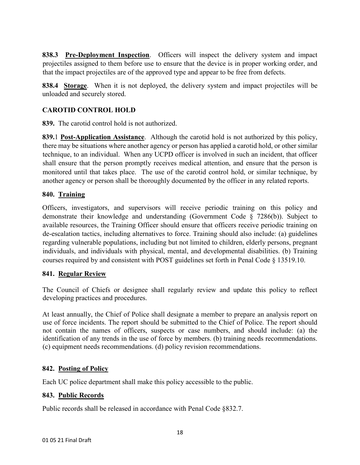**838.3 Pre-Deployment Inspection**. Officers will inspect the delivery system and impact projectiles assigned to them before use to ensure that the device is in proper working order, and that the impact projectiles are of the approved type and appear to be free from defects.

**838.4 Storage**. When it is not deployed, the delivery system and impact projectiles will be unloaded and securely stored.

## **CAROTID CONTROL HOLD**

**839.** The carotid control hold is not authorized.

**839.**1 **Post-Application Assistance**. Although the carotid hold is not authorized by this policy, there may be situations where another agency or person has applied a carotid hold, or other similar technique, to an individual. When any UCPD officer is involved in such an incident, that officer shall ensure that the person promptly receives medical attention, and ensure that the person is monitored until that takes place. The use of the carotid control hold, or similar technique, by another agency or person shall be thoroughly documented by the officer in any related reports.

#### **840. Training**

Officers, investigators, and supervisors will receive periodic training on this policy and demonstrate their knowledge and understanding (Government Code § 7286(b)). Subject to available resources, the Training Officer should ensure that officers receive periodic training on de-escalation tactics, including alternatives to force. Training should also include: (a) guidelines regarding vulnerable populations, including but not limited to children, elderly persons, pregnant individuals, and individuals with physical, mental, and developmental disabilities. (b) Training courses required by and consistent with POST guidelines set forth in Penal Code § 13519.10.

## **841. Regular Review**

The Council of Chiefs or designee shall regularly review and update this policy to reflect developing practices and procedures.

At least annually, the Chief of Police shall designate a member to prepare an analysis report on use of force incidents. The report should be submitted to the Chief of Police. The report should not contain the names of officers, suspects or case numbers, and should include: (a) the identification of any trends in the use of force by members. (b) training needs recommendations. (c) equipment needs recommendations. (d) policy revision recommendations.

## **842. Posting of Policy**

Each UC police department shall make this policy accessible to the public.

#### **843. Public Records**

Public records shall be released in accordance with Penal Code §832.7.